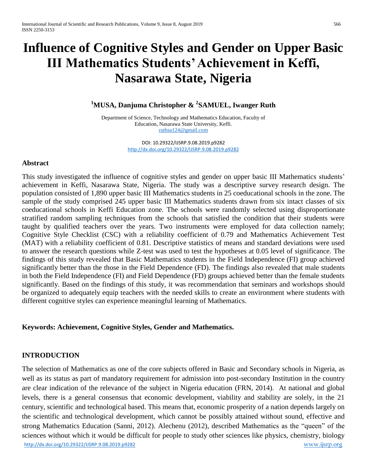# **Influence of Cognitive Styles and Gender on Upper Basic III Mathematics Students' Achievement in Keffi, Nasarawa State, Nigeria**

# **<sup>1</sup>MUSA, Danjuma Christopher & <sup>2</sup> SAMUEL, Iwanger Ruth**

Department of Science, Technology and Mathematics Education, Faculty of Education, Nasarawa State University, Keffi. [ruthsa124@gmail.com](mailto:ruthsa124@gmail.com)

> DOI: 10.29322/IJSRP.9.08.2019.p9282 <http://dx.doi.org/10.29322/IJSRP.9.08.2019.p9282>

## **Abstract**

This study investigated the influence of cognitive styles and gender on upper basic III Mathematics students' achievement in Keffi, Nasarawa State, Nigeria. The study was a descriptive survey research design. The population consisted of 1,890 upper basic III Mathematics students in 25 coeducational schools in the zone. The sample of the study comprised 245 upper basic III Mathematics students drawn from six intact classes of six coeducational schools in Keffi Education zone. The schools were randomly selected using disproportionate stratified random sampling techniques from the schools that satisfied the condition that their students were taught by qualified teachers over the years. Two instruments were employed for data collection namely; Cognitive Style Checklist (CSC) with a reliability coefficient of 0.79 and Mathematics Achievement Test (MAT) with a reliability coefficient of 0.81. Descriptive statistics of means and standard deviations were used to answer the research questions while Z-test was used to test the hypotheses at 0.05 level of significance. The findings of this study revealed that Basic Mathematics students in the Field Independence (FI) group achieved significantly better than the those in the Field Dependence (FD). The findings also revealed that male students in both the Field Independence (FI) and Field Dependence (FD) groups achieved better than the female students significantly. Based on the findings of this study, it was recommendation that seminars and workshops should be organized to adequately equip teachers with the needed skills to create an environment where students with different cognitive styles can experience meaningful learning of Mathematics.

#### **Keywords: Achievement, Cognitive Styles, Gender and Mathematics.**

# **INTRODUCTION**

http://dx.doi.org/10.29322/IJSRP.9.08.2019.p9282 www.ijsrp.org The selection of Mathematics as one of the core subjects offered in Basic and Secondary schools in Nigeria, as well as its status as part of mandatory requirement for admission into post-secondary Institution in the country are clear indication of the relevance of the subject in Nigeria education (FRN, 2014). At national and global levels, there is a general consensus that economic development, viability and stability are solely, in the 21 century, scientific and technological based. This means that, economic prosperity of a nation depends largely on the scientific and technological development, which cannot be possibly attained without sound, effective and strong Mathematics Education (Sanni, 2012). Alechenu (2012), described Mathematics as the "queen" of the sciences without which it would be difficult for people to study other sciences like physics, chemistry, biology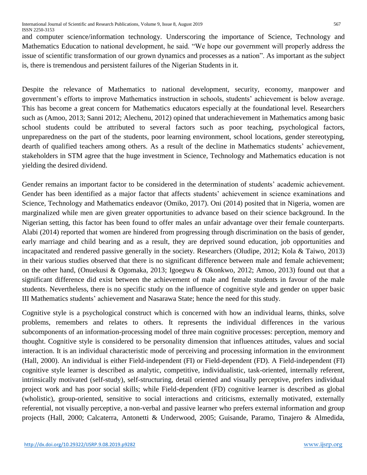and computer science/information technology. Underscoring the importance of Science, Technology and Mathematics Education to national development, he said. "We hope our government will properly address the issue of scientific transformation of our grown dynamics and processes as a nation". As important as the subject is, there is tremendous and persistent failures of the Nigerian Students in it.

Despite the relevance of Mathematics to national development, security, economy, manpower and government's efforts to improve Mathematics instruction in schools, students' achievement is below average. This has become a great concern for Mathematics educators especially at the foundational level. Researchers such as (Amoo, 2013; Sanni 2012; Alechenu, 2012) opined that underachievement in Mathematics among basic school students could be attributed to several factors such as poor teaching, psychological factors, unpreparedness on the part of the students, poor learning environment, school locations, gender stereotyping, dearth of qualified teachers among others. As a result of the decline in Mathematics students' achievement, stakeholders in STM agree that the huge investment in Science, Technology and Mathematics education is not yielding the desired dividend.

Gender remains an important factor to be considered in the determination of students' academic achievement. Gender has been identified as a major factor that affects students' achievement in science examinations and Science, Technology and Mathematics endeavor (Omiko, 2017). Oni (2014) posited that in Nigeria, women are marginalized while men are given greater opportunities to advance based on their science background. In the Nigerian setting, this factor has been found to offer males an unfair advantage over their female counterparts. Alabi (2014) reported that women are hindered from progressing through discrimination on the basis of gender, early marriage and child bearing and as a result, they are deprived sound education, job opportunities and incapacitated and rendered passive generally in the society. Researchers (Oludipe, 2012; Kola & Taiwo, 2013) in their various studies observed that there is no significant difference between male and female achievement; on the other hand, (Onuekusi & Ogomaka, 2013; Igoegwu & Okonkwo, 2012; Amoo, 2013) found out that a significant difference did exist between the achievement of male and female students in favour of the male students. Nevertheless, there is no specific study on the influence of cognitive style and gender on upper basic III Mathematics students' achievement and Nasarawa State; hence the need for this study.

Cognitive style is a psychological construct which is concerned with how an individual learns, thinks, solve problems, remembers and relates to others. It represents the individual differences in the various subcomponents of an information-processing model of three main cognitive processes: perception, memory and thought. Cognitive style is considered to be personality dimension that influences attitudes, values and social interaction. It is an individual characteristic mode of perceiving and processing information in the environment (Hall, 2000). An individual is either Field-independent (FI) or Field-dependent (FD). A Field-independent (FI) cognitive style learner is described as analytic, competitive, individualistic, task-oriented, internally referent, intrinsically motivated (self-study), self-structuring, detail oriented and visually perceptive, prefers individual project work and has poor social skills; while Field-dependent (FD) cognitive learner is described as global (wholistic), group-oriented, sensitive to social interactions and criticisms, externally motivated, externally referential, not visually perceptive, a non-verbal and passive learner who prefers external information and group projects (Hall, 2000; Calcaterra, Antonetti & Underwood, 2005; Guisande, Paramo, Tinajero & Almedida,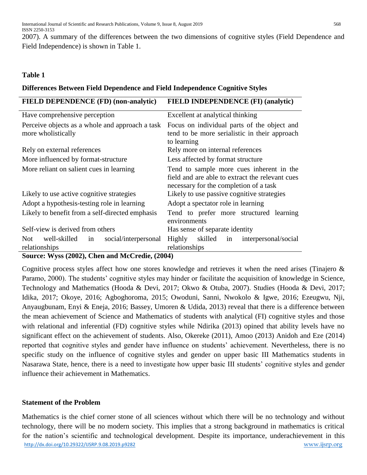2007). A summary of the differences between the two dimensions of cognitive styles (Field Dependence and Field Independence) is shown in Table 1.

# **Table 1**

## **Differences Between Field Dependence and Field Independence Cognitive Styles**

| FIELD DEPENDENCE (FD) (non-analytic)                                                                                    | <b>FIELD INDEPENDENCE (FI) (analytic)</b>                                                                                             |  |  |  |  |  |
|-------------------------------------------------------------------------------------------------------------------------|---------------------------------------------------------------------------------------------------------------------------------------|--|--|--|--|--|
| Have comprehensive perception                                                                                           | Excellent at analytical thinking                                                                                                      |  |  |  |  |  |
| Perceive objects as a whole and approach a task<br>more wholistically                                                   | Focus on individual parts of the object and<br>tend to be more serialistic in their approach<br>to learning                           |  |  |  |  |  |
| Rely on external references                                                                                             | Rely more on internal references                                                                                                      |  |  |  |  |  |
| More influenced by format-structure                                                                                     | Less affected by format structure                                                                                                     |  |  |  |  |  |
| More reliant on salient cues in learning                                                                                | Tend to sample more cues inherent in the<br>field and are able to extract the relevant cues<br>necessary for the completion of a task |  |  |  |  |  |
| Likely to use active cognitive strategies                                                                               | Likely to use passive cognitive strategies                                                                                            |  |  |  |  |  |
| Adopt a hypothesis-testing role in learning                                                                             | Adopt a spectator role in learning                                                                                                    |  |  |  |  |  |
| Likely to benefit from a self-directed emphasis                                                                         | Tend to prefer more structured learning<br>environments                                                                               |  |  |  |  |  |
| Self-view is derived from others                                                                                        | Has sense of separate identity                                                                                                        |  |  |  |  |  |
| well-skilled<br>social/interpersonal<br>Not<br>in<br>relationships<br>$\mathbf{1} \mathbf{M} \cap \mathbf{N}$<br>(3002) | Highly<br>skilled<br>interpersonal/social<br>in<br>relationships                                                                      |  |  |  |  |  |

**Source: Wyss (2002), Chen and McCredie, (2004)**

Cognitive process styles affect how one stores knowledge and retrieves it when the need arises (Tinajero & Paramo, 2000). The students' cognitive styles may hinder or facilitate the acquisition of knowledge in Science, Technology and Mathematics (Hooda & Devi, 2017; Okwo & Otuba, 2007). Studies (Hooda & Devi, 2017; Idika, 2017; Okoye, 2016; Agboghoroma, 2015; Owoduni, Sanni, Nwokolo & Igwe, 2016; Ezeugwu, Nji, Anyaugbunam, Enyi & Eneja, 2016; Bassey, Umoren & Udida, 2013) reveal that there is a difference between the mean achievement of Science and Mathematics of students with analytical (FI) cognitive styles and those with relational and inferential (FD) cognitive styles while Ndirika (2013) opined that ability levels have no significant effect on the achievement of students. Also, Okereke (2011), Amoo (2013) Anidoh and Eze (2014) reported that cognitive styles and gender have influence on students' achievement. Nevertheless, there is no specific study on the influence of cognitive styles and gender on upper basic III Mathematics students in Nasarawa State, hence, there is a need to investigate how upper basic III students' cognitive styles and gender influence their achievement in Mathematics.

# **Statement of the Problem**

http://dx.doi.org/10.29322/IJSRP.9.08.2019.p9282 www.ijsrp.org Mathematics is the chief corner stone of all sciences without which there will be no technology and without technology, there will be no modern society. This implies that a strong background in mathematics is critical for the nation's scientific and technological development. Despite its importance, underachievement in this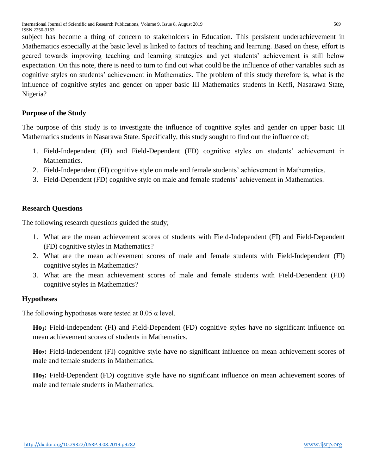subject has become a thing of concern to stakeholders in Education. This persistent underachievement in Mathematics especially at the basic level is linked to factors of teaching and learning. Based on these, effort is geared towards improving teaching and learning strategies and yet students' achievement is still below expectation. On this note, there is need to turn to find out what could be the influence of other variables such as cognitive styles on students' achievement in Mathematics. The problem of this study therefore is, what is the influence of cognitive styles and gender on upper basic III Mathematics students in Keffi, Nasarawa State, Nigeria?

# **Purpose of the Study**

The purpose of this study is to investigate the influence of cognitive styles and gender on upper basic III Mathematics students in Nasarawa State. Specifically, this study sought to find out the influence of;

- 1. Field-Independent (FI) and Field-Dependent (FD) cognitive styles on students' achievement in Mathematics.
- 2. Field-Independent (FI) cognitive style on male and female students' achievement in Mathematics.
- 3. Field-Dependent (FD) cognitive style on male and female students' achievement in Mathematics.

# **Research Questions**

The following research questions guided the study;

- 1. What are the mean achievement scores of students with Field-Independent (FI) and Field-Dependent (FD) cognitive styles in Mathematics?
- 2. What are the mean achievement scores of male and female students with Field-Independent (FI) cognitive styles in Mathematics?
- 3. What are the mean achievement scores of male and female students with Field-Dependent (FD) cognitive styles in Mathematics?

# **Hypotheses**

The following hypotheses were tested at  $0.05 \alpha$  level.

**Ho1:** Field-Independent (FI) and Field-Dependent (FD) cognitive styles have no significant influence on mean achievement scores of students in Mathematics.

**Ho2:** Field-Independent (FI) cognitive style have no significant influence on mean achievement scores of male and female students in Mathematics.

**Ho3:** Field-Dependent (FD) cognitive style have no significant influence on mean achievement scores of male and female students in Mathematics.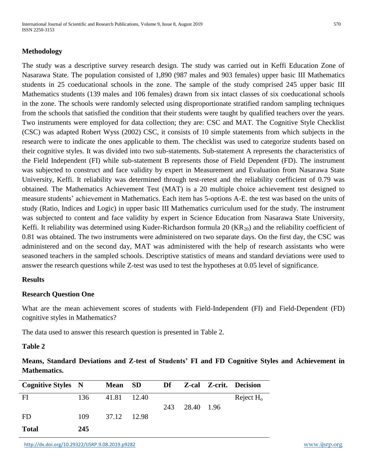## **Methodology**

The study was a descriptive survey research design. The study was carried out in Keffi Education Zone of Nasarawa State. The population consisted of 1,890 (987 males and 903 females) upper basic III Mathematics students in 25 coeducational schools in the zone. The sample of the study comprised 245 upper basic III Mathematics students (139 males and 106 females) drawn from six intact classes of six coeducational schools in the zone. The schools were randomly selected using disproportionate stratified random sampling techniques from the schools that satisfied the condition that their students were taught by qualified teachers over the years. Two instruments were employed for data collection; they are: CSC and MAT. The Cognitive Style Checklist (CSC) was adapted Robert Wyss (2002) CSC, it consists of 10 simple statements from which subjects in the research were to indicate the ones applicable to them. The checklist was used to categorize students based on their cognitive styles. It was divided into two sub-statements. Sub-statement A represents the characteristics of the Field Independent (FI) while sub-statement B represents those of Field Dependent (FD). The instrument was subjected to construct and face validity by expert in Measurement and Evaluation from Nasarawa State University, Keffi. It reliability was determined through test-retest and the reliability coefficient of 0.79 was obtained. The Mathematics Achievement Test (MAT) is a 20 multiple choice achievement test designed to measure students' achievement in Mathematics. Each item has 5-options A-E. the test was based on the units of study (Ratio, Indices and Logic) in upper basic III Mathematics curriculum used for the study. The instrument was subjected to content and face validity by expert in Science Education from Nasarawa State University, Keffi. It reliability was determined using Kuder-Richardson formula 20  $(KR_{20})$  and the reliability coefficient of 0.81 was obtained. The two instruments were administered on two separate days. On the first day, the CSC was administered and on the second day, MAT was administered with the help of research assistants who were seasoned teachers in the sampled schools. Descriptive statistics of means and standard deviations were used to answer the research questions while Z-test was used to test the hypotheses at 0.05 level of significance.

#### **Results**

#### **Research Question One**

What are the mean achievement scores of students with Field-Independent (FI) and Field-Dependent (FD) cognitive styles in Mathematics?

The data used to answer this research question is presented in Table 2.

## **Table 2**

**Means, Standard Deviations and Z-test of Students' FI and FD Cognitive Styles and Achievement in Mathematics.**

| <b>Cognitive Styles N</b> |     | <b>Mean</b> | <b>SD</b> | <b>Df</b> |            | <b>Z-cal Z-crit. Decision</b> |
|---------------------------|-----|-------------|-----------|-----------|------------|-------------------------------|
| FI                        | 136 | 41.81       | - 12.40   |           |            | Reject $H_0$                  |
|                           |     |             |           | 243       | 28.40 1.96 |                               |
| FD                        | 109 | 37.12 12.98 |           |           |            |                               |
| <b>Total</b>              | 245 |             |           |           |            |                               |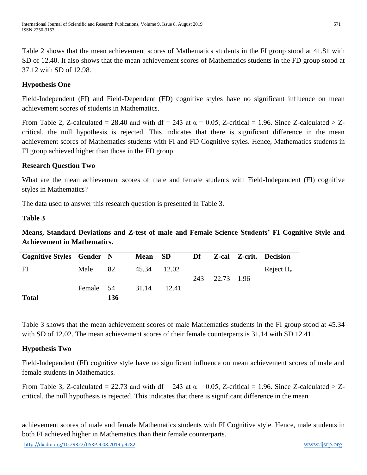Table 2 shows that the mean achievement scores of Mathematics students in the FI group stood at 41.81 with SD of 12.40. It also shows that the mean achievement scores of Mathematics students in the FD group stood at 37.12 with SD of 12.98.

# **Hypothesis One**

Field-Independent (FI) and Field-Dependent (FD) cognitive styles have no significant influence on mean achievement scores of students in Mathematics.

From Table 2, Z-calculated = 28.40 and with df = 243 at  $\alpha = 0.05$ , Z-critical = 1.96. Since Z-calculated > Zcritical, the null hypothesis is rejected. This indicates that there is significant difference in the mean achievement scores of Mathematics students with FI and FD Cognitive styles. Hence, Mathematics students in FI group achieved higher than those in the FD group.

# **Research Question Two**

What are the mean achievement scores of male and female students with Field-Independent (FI) cognitive styles in Mathematics?

The data used to answer this research question is presented in Table 3.

# **Table 3**

**Means, Standard Deviations and Z-test of male and Female Science Students' FI Cognitive Style and Achievement in Mathematics.**

| <b>Cognitive Styles Gender N</b> |           |     | Mean SD     |       | Df  |            | <b>Z-cal Z-crit. Decision</b> |
|----------------------------------|-----------|-----|-------------|-------|-----|------------|-------------------------------|
| FI                               | Male 82   |     | 45.34 12.02 |       |     |            | Reject $H_0$                  |
|                                  |           |     |             |       | 243 | 22.73 1.96 |                               |
|                                  | Female 54 |     | 31.14       | 12.41 |     |            |                               |
| <b>Total</b>                     |           | 136 |             |       |     |            |                               |

Table 3 shows that the mean achievement scores of male Mathematics students in the FI group stood at 45.34 with SD of 12.02. The mean achievement scores of their female counterparts is 31.14 with SD 12.41.

# **Hypothesis Two**

Field-Independent (FI) cognitive style have no significant influence on mean achievement scores of male and female students in Mathematics.

From Table 3, Z-calculated = 22.73 and with df = 243 at  $\alpha = 0.05$ , Z-critical = 1.96. Since Z-calculated > Zcritical, the null hypothesis is rejected. This indicates that there is significant difference in the mean

achievement scores of male and female Mathematics students with FI Cognitive style. Hence, male students in both FI achieved higher in Mathematics than their female counterparts.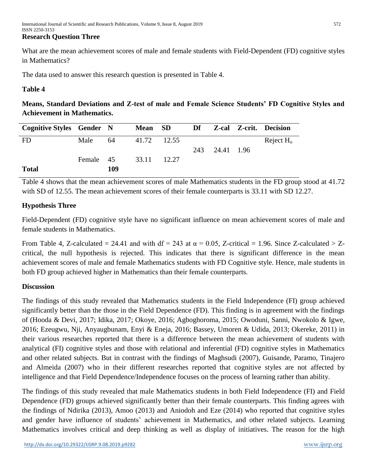What are the mean achievement scores of male and female students with Field-Dependent (FD) cognitive styles in Mathematics?

The data used to answer this research question is presented in Table 4.

## **Table 4**

**Means, Standard Deviations and Z-test of male and Female Science Students' FD Cognitive Styles and Achievement in Mathematics.**

| <b>Cognitive Styles Gender N</b> |           |     | Mean SD     |       | <b>Df</b> |                | <b>Z-cal Z-crit. Decision</b> |
|----------------------------------|-----------|-----|-------------|-------|-----------|----------------|-------------------------------|
| <b>FD</b>                        | Male      | 64  | 41.72 12.55 |       |           |                | Reject $H_0$                  |
|                                  |           |     |             |       |           | 243 24.41 1.96 |                               |
|                                  | Female 45 |     | 33.11       | 12.27 |           |                |                               |
| <b>Total</b>                     |           | 109 |             |       |           |                |                               |

Table 4 shows that the mean achievement scores of male Mathematics students in the FD group stood at 41.72 with SD of 12.55. The mean achievement scores of their female counterparts is 33.11 with SD 12.27.

# **Hypothesis Three**

Field-Dependent (FD) cognitive style have no significant influence on mean achievement scores of male and female students in Mathematics.

From Table 4, Z-calculated = 24.41 and with df = 243 at  $\alpha$  = 0.05, Z-critical = 1.96. Since Z-calculated > Zcritical, the null hypothesis is rejected. This indicates that there is significant difference in the mean achievement scores of male and female Mathematics students with FD Cognitive style. Hence, male students in both FD group achieved higher in Mathematics than their female counterparts.

# **Discussion**

The findings of this study revealed that Mathematics students in the Field Independence (FI) group achieved significantly better than the those in the Field Dependence (FD). This finding is in agreement with the findings of (Hooda & Devi, 2017; Idika, 2017; Okoye, 2016; Agboghoroma, 2015; Owoduni, Sanni, Nwokolo & Igwe, 2016; Ezeugwu, Nji, Anyaugbunam, Enyi & Eneja, 2016; Bassey, Umoren & Udida, 2013; Okereke, 2011) in their various researches reported that there is a difference between the mean achievement of students with analytical (FI) cognitive styles and those with relational and inferential (FD) cognitive styles in Mathematics and other related subjects. But in contrast with the findings of Maghsudi (2007), Guisande, Paramo, Tinajero and Almeida (2007) who in their different researches reported that cognitive styles are not affected by intelligence and that Field Dependence/Independence focuses on the process of learning rather than ability.

The findings of this study revealed that male Mathematics students in both Field Independence (FI) and Field Dependence (FD) groups achieved significantly better than their female counterparts. This finding agrees with the findings of Ndirika (2013), Amoo (2013) and Aniodoh and Eze (2014) who reported that cognitive styles and gender have influence of students' achievement in Mathematics, and other related subjects. Learning Mathematics involves critical and deep thinking as well as display of initiatives. The reason for the high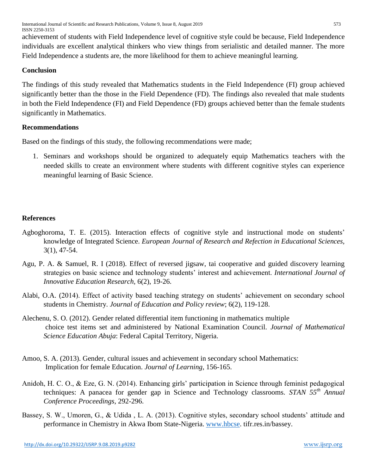International Journal of Scientific and Research Publications, Volume 9, Issue 8, August 2019 573 ISSN 2250-3153

achievement of students with Field Independence level of cognitive style could be because, Field Independence individuals are excellent analytical thinkers who view things from serialistic and detailed manner. The more Field Independence a students are, the more likelihood for them to achieve meaningful learning.

## **Conclusion**

The findings of this study revealed that Mathematics students in the Field Independence (FI) group achieved significantly better than the those in the Field Dependence (FD). The findings also revealed that male students in both the Field Independence (FI) and Field Dependence (FD) groups achieved better than the female students significantly in Mathematics.

## **Recommendations**

Based on the findings of this study, the following recommendations were made;

1. Seminars and workshops should be organized to adequately equip Mathematics teachers with the needed skills to create an environment where students with different cognitive styles can experience meaningful learning of Basic Science.

# **References**

- Agboghoroma, T. E. (2015). Interaction effects of cognitive style and instructional mode on students' knowledge of Integrated Science. *European Journal of Research and Refection in Educational Sciences,* 3(1), 47-54.
- Agu, P. A. & Samuel, R. I (2018). Effect of reversed jigsaw, tai cooperative and guided discovery learning strategies on basic science and technology students' interest and achievement. *International Journal of Innovative Education Research,* 6(2), 19-26.
- Alabi, O.A. (2014). Effect of activity based teaching strategy on students' achievement on secondary school students in Chemistry. *Journal of Education and Policy review*; 6(2), 119-128.
- Alechenu, S. O. (2012). Gender related differential item functioning in mathematics multiple choice test items set and administered by National Examination Council. *Journal of Mathematical Science Education Abuja*: Federal Capital Territory, Nigeria.
- Amoo, S. A. (2013). Gender, cultural issues and achievement in secondary school Mathematics: Implication for female Education. *Journal of Learning*, 156-165.
- Anidoh, H. C. O., & Eze, G. N. (2014). Enhancing girls' participation in Science through feminist pedagogical techniques: A panacea for gender gap in Science and Technology classrooms. *STAN 55th Annual Conference Proceedings*, 292-296.
- Bassey, S. W., Umoren, G., & Udida , L. A. (2013). Cognitive styles, secondary school students' attitude and performance in Chemistry in Akwa Ibom State-Nigeria. [www.hbcse.](http://www.hbcse/) tifr.res.in/bassey.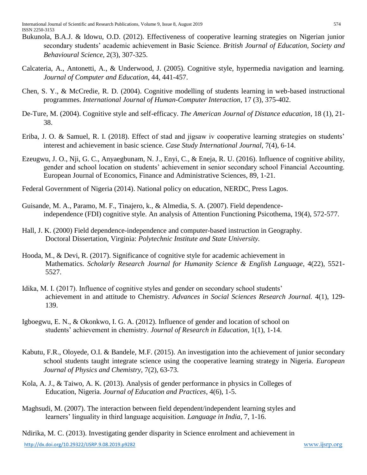- Bukunola, B.A.J. & Idowu, O.D. (2012). Effectiveness of cooperative learning strategies on Nigerian junior secondary students' academic achievement in Basic Science. *British Journal of Education, Society and Behavioural Science,* 2(3), 307-325.
- Calcateria, A., Antonetti, A., & Underwood, J. (2005). Cognitive style, hypermedia navigation and learning. *Journal of Computer and Education*, 44, 441-457.
- Chen, S. Y., & McCredie, R. D. (2004). Cognitive modelling of students learning in web-based instructional programmes. *International Journal of Human-Computer Interaction*, 17 (3), 375-402.
- De-Ture, M. (2004). Cognitive style and self-efficacy. *The American Journal of Distance education*, 18 (1), 21- 38.
- Eriba, J. O. & Samuel, R. I. (2018). Effect of stad and jigsaw iv cooperative learning strategies on students' interest and achievement in basic science. *Case Study International Journal,* 7(4), 6-14.
- Ezeugwu, J. O., Nji, G. C., Anyaegbunam, N. J., Enyi, C., & Eneja, R. U. (2016). Influence of cognitive ability, gender and school location on students' achievement in senior secondary school Financial Accounting. European Journal of Economics, Finance and Administrative Sciences, 89, 1-21.
- Federal Government of Nigeria (2014). National policy on education, NERDC, Press Lagos.
- Guisande, M. A., Paramo, M. F., Tinajero, k., & Almedia, S. A. (2007). Field dependenceindependence (FDI) cognitive style. An analysis of Attention Functioning Psicothema, 19(4), 572-577.
- Hall, J. K. (2000) Field dependence-independence and computer-based instruction in Geography. Doctoral Dissertation, Virginia: *Polytechnic Institute and State University.*
- Hooda, M., & Devi, R. (2017). Significance of cognitive style for academic achievement in Mathematics. *Scholarly Research Journal for Humanity Science & English Language*, 4(22), 5521- 5527.
- Idika, M. I. (2017). Influence of cognitive styles and gender on secondary school students' achievement in and attitude to Chemistry. *Advances in Social Sciences Research Journal.* 4(1), 129- 139.
- Igboegwu, E. N., & Okonkwo, I. G. A. (2012). Influence of gender and location of school on students' achievement in chemistry. *Journal of Research in Education*, 1(1), 1-14.
- Kabutu, F.R., Oloyede, O.I. & Bandele, M.F. (2015). An investigation into the achievement of junior secondary school students taught integrate science using the cooperative learning strategy in Nigeria. *European Journal of Physics and Chemistry,* 7(2), 63-73.
- Kola, A. J., & Taiwo, A. K. (2013). Analysis of gender performance in physics in Colleges of Education, Nigeria. *Journal of Education and Practices*, 4(6), 1-5.
- Maghsudi, M. (2007). The interaction between field dependent/independent learning styles and learners' linguality in third language acquisition. *Language in India*, 7, 1-16.

http://dx.doi.org/10.29322/IJSRP.9.08.2019.p9282 www.ijsrp.org Ndirika, M. C. (2013). Investigating gender disparity in Science enrolment and achievement in